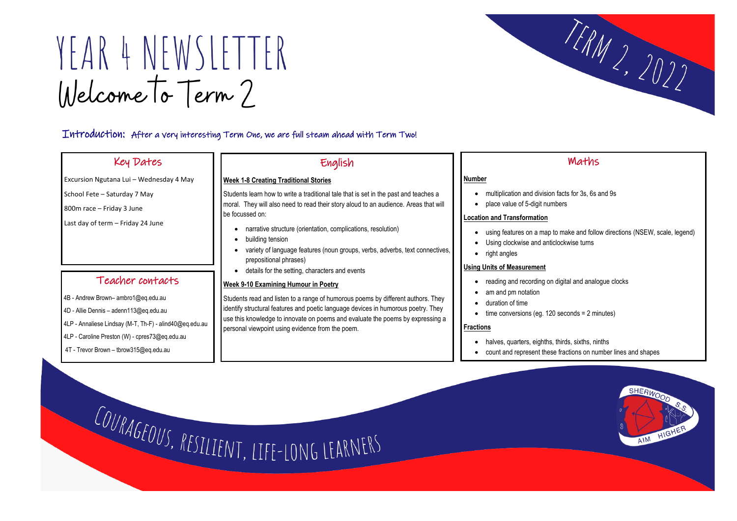# YEAR 4 NEWSLETTER Welcome To Term?

### Introduction: After a very interesting Term One, we are full steam ahead with Term Two!

# Key Dates

Excursion Ngutana Lui – Wednesday 4 May

School Fete – Saturday 7 May

800m race – Friday 3 June

 $\overline{\phantom{a}}$ 

Last day of term – Friday 24 June

## English

#### **Week 1-8 Creating Traditional Stories**

Students learn how to write a traditional tale that is set in the past and teaches a moral. They will also need to read their story aloud to an audience. Areas that will be focussed on:

- narrative structure (orientation, complications, resolution)
- building tension
- variety of language features (noun groups, verbs, adverbs, text connectives, prepositional phrases)
- details for the setting, characters and events

#### **Week 9-10 Examining Humour in Poetry**

Students read and listen to a range of humorous poems by different authors. They identify structural features and poetic language devices in humorous poetry. They use this knowledge to innovate on poems and evaluate the poems by expressing a personal viewpoint using evidence from the poem.

### Teacher contacts

- 4B Andrew Brown– ambro1@eq.edu.au
- 4D Allie Dennis adenn113@eq.edu.au
- 4LP Annaliese Lindsay (M-T, Th-F) alind40@eq.edu.au
- 4LP Caroline Preston (W) cpres73@eq.edu.au
- 4T Trevor Brown tbrow315@eq.edu.au

Maths

• using features on a map to make and follow directions (NSEW, scale, legend)

#### **Number**

- multiplication and division facts for 3s, 6s and 9s
- place value of 5-digit numbers

#### **Location and Transformation**

- 
- Using clockwise and anticlockwise turns
- right angles

#### **Using Units of Measurement**

- reading and recording on digital and analogue clocks
- am and pm notation
- duration of time
- time conversions (eg. 120 seconds = 2 minutes)

#### **Fractions**

- halves, quarters, eighths, thirds, sixths, ninths
- 

COURAGEOUS, RESILIENT, LIFE-LONG LEARNERS



• count and represent these fractions on number lines and shapes